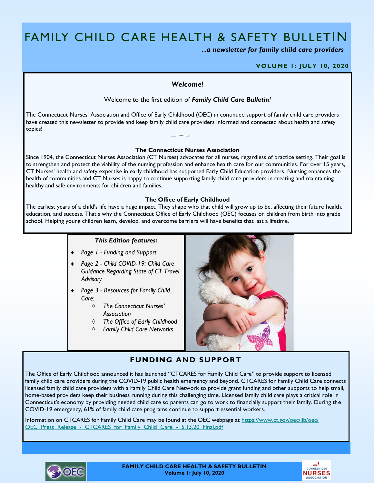# FAMILY CHILD CARE HEALTH & SAFETY BULLETIN

*...a newsletter for family child care providers*

### **VOLUME 1: JULY 10, 2020**

## *Welcome!*

Welcome to the first edition of *Family Child Care Bulletin!* 

The Connecticut Nurses' Association and Office of Early Childhood (OEC) in continued support of family child care providers have created this newsletter to provide and keep family child care providers informed and connected about health and safety topics!

#### **The Connecticut Nurses Association**

Since 1904, the Connecticut Nurses Association (CT Nurses) advocates for all nurses, regardless of practice setting. Their goal is to strengthen and protect the viability of the nursing profession and enhance health care for our communities. For over 15 years, CT Nurses' health and safety expertise in early childhood has supported Early Child Education providers. Nursing enhances the health of communities and CT Nurses is happy to continue supporting family child care providers in creating and maintaining healthy and safe environments for children and families.

#### **The Office of Early Childhood**

The earliest years of a child's life have a huge impact. They shape who that child will grow up to be, affecting their future health, education, and success. That's why the Connecticut Office of Early Childhood (OEC) focuses on children from birth into grade school. Helping young children learn, develop, and overcome barriers will have benefits that last a lifetime.

## *This Edition features:*

- *Page 1 - Funding and Support*
- *Page 2 - Child COVID-19: Child Care Guidance Regarding State of CT Travel Advisory*
- *Page 3 - Resources for Family Child Care:*
	- *The Connecticut Nurses' Association*
	- *The Office of Early Childhood*
	- *Family Child Care Networks*



## **FUNDING AND SUPPORT**

The Office of Early Childhood announced it has launched "CTCARES for Family Child Care" to provide support to licensed family child care providers during the COVID-19 public health emergency and beyond. CTCARES for Family Child Care connects licensed family child care providers with a Family Child Care Network to provide grant funding and other supports to help small, home-based providers keep their business running during this challenging time. Licensed family child care plays a critical role in Connecticut's economy by providing needed child care so parents can go to work to financially support their family. During the COVID-19 emergency, 61% of family child care programs continue to support essential workers.

Information on CTCARES for Family Child Care may be found at the OEC webpage at [https://www.ct.gov/oec/lib/oec/](https://www.ct.gov/oec/lib/oec/OEC_Press_Release_-_CTCARES_for_Family_Child_Care_-_5.13.20_Final.pdf) [OEC\\_Press\\_Release\\_-\\_CTCARES\\_for\\_Family\\_Child\\_Care\\_-\\_5.13.20\\_Final.pdf](https://www.ct.gov/oec/lib/oec/OEC_Press_Release_-_CTCARES_for_Family_Child_Care_-_5.13.20_Final.pdf)



**FAMILY CHILD CARE HEALTH & SAFETY BULLETIN Volume 1: July 10, 2020**

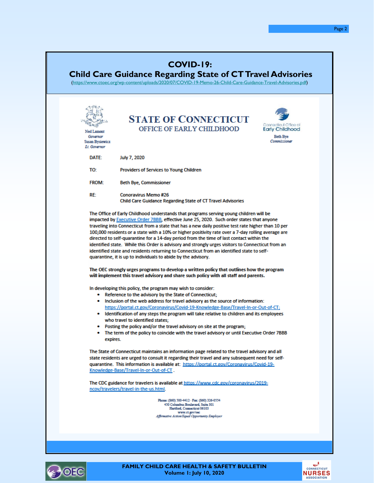| <b>COVID-19:</b><br><b>Child Care Guidance Regarding State of CT Travel Advisories</b><br>(https://www.ctoec.org/wp-content/uploads/2020/07/COVID-19-Memo-26-Child-Care-Guidance-Travel-Advisories.pdf) |                                                                                                                                                                                                                                                                                                                                                                                                                                                                                                                                                                                                                                                                      |
|---------------------------------------------------------------------------------------------------------------------------------------------------------------------------------------------------------|----------------------------------------------------------------------------------------------------------------------------------------------------------------------------------------------------------------------------------------------------------------------------------------------------------------------------------------------------------------------------------------------------------------------------------------------------------------------------------------------------------------------------------------------------------------------------------------------------------------------------------------------------------------------|
|                                                                                                                                                                                                         |                                                                                                                                                                                                                                                                                                                                                                                                                                                                                                                                                                                                                                                                      |
| Ned Lamont<br>Governor<br>Susan Bysiewicz<br><b>Lt.</b> Governor                                                                                                                                        | <b>STATE OF CONNECTICUT</b><br>Connacticut Cifice of<br>OFFICE OF EARLY CHILDHOOD<br><b>Early Childhood</b><br><b>Beth Bye</b><br>Commissioner                                                                                                                                                                                                                                                                                                                                                                                                                                                                                                                       |
| DATE:                                                                                                                                                                                                   | July 7, 2020                                                                                                                                                                                                                                                                                                                                                                                                                                                                                                                                                                                                                                                         |
| TO:                                                                                                                                                                                                     | <b>Providers of Services to Young Children</b>                                                                                                                                                                                                                                                                                                                                                                                                                                                                                                                                                                                                                       |
| <b>FROM:</b>                                                                                                                                                                                            | <b>Beth Bye, Commissioner</b>                                                                                                                                                                                                                                                                                                                                                                                                                                                                                                                                                                                                                                        |
| RE.                                                                                                                                                                                                     | <b>Conoravirus Memo #26</b><br><b>Child Care Guidance Regarding State of CT Travel Advisories</b>                                                                                                                                                                                                                                                                                                                                                                                                                                                                                                                                                                    |
|                                                                                                                                                                                                         | traveling into Connecticut from a state that has a new daily positive test rate higher than 10 per<br>100,000 residents or a state with a 10% or higher positivity rate over a 7-day rolling average are<br>directed to self-quarantine for a 14-day period from the time of last contact within the<br>identified state. While this Order is advisory and strongly urges visitors to Connecticut from an<br>identified state and residents returning to Connecticut from an identified state to self-<br>quarantine, it is up to individuals to abide by the advisory.<br>The OEC strongly urges programs to develop a written policy that outlines how the program |
|                                                                                                                                                                                                         | will implement this travel advisory and share such policy with all staff and parents.<br>In developing this policy, the program may wish to consider:                                                                                                                                                                                                                                                                                                                                                                                                                                                                                                                |
|                                                                                                                                                                                                         | • Reference to the advisory by the State of Connecticut;<br>. Inclusion of the web address for travel advisory as the source of information:                                                                                                                                                                                                                                                                                                                                                                                                                                                                                                                         |
|                                                                                                                                                                                                         | https://portal.ct.gov/Coronavirus/Covid-19-Knowledge-Base/Travel-In-or-Out-of-CT;<br>• Identification of any steps the program will take relative to children and its employees<br>who travel to identified states;<br>• Posting the policy and/or the travel advisory on site at the program;                                                                                                                                                                                                                                                                                                                                                                       |
|                                                                                                                                                                                                         | • The term of the policy to coincide with the travel advisory or until Executive Order 7BBB<br>expires.                                                                                                                                                                                                                                                                                                                                                                                                                                                                                                                                                              |
|                                                                                                                                                                                                         | The State of Connecticut maintains an information page related to the travel advisory and all<br>state residents are urged to consult it regarding their travel and any subsequent need for self-<br>quarantine. This information is available at: https://portal.ct.gov/Coronavirus/Covid-19-<br>Knowledge-Base/Travel-In-or-Out-of-CT.                                                                                                                                                                                                                                                                                                                             |
|                                                                                                                                                                                                         | The CDC guidance for travelers is available at https://www.cdc.gov/coronavirus/2019-<br>ncov/travelers/travel-in-the-us.html.                                                                                                                                                                                                                                                                                                                                                                                                                                                                                                                                        |
|                                                                                                                                                                                                         | Phone: (860) 500-4412 - Fax: (860) 326-0554<br>450 Columbus Boulevard, Suite 301<br>Hartford, Connecticut 06103<br>www.ct.gov/oec<br>Affirmative Action/Equal Opportunity Employer                                                                                                                                                                                                                                                                                                                                                                                                                                                                                   |
|                                                                                                                                                                                                         |                                                                                                                                                                                                                                                                                                                                                                                                                                                                                                                                                                                                                                                                      |



**FAMILY CHILD CARE HEALTH & SAFETY BULLETIN Volume 1: July 10, 2020**